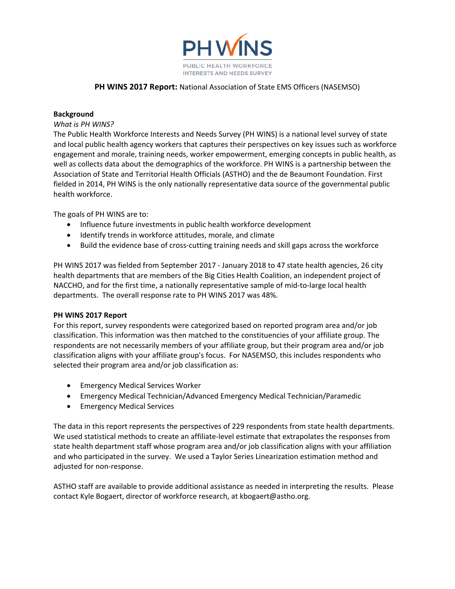

### **PH WINS 2017 Report:** National Association of State EMS Officers (NASEMSO)

### **Background**

### *What is PH WINS?*

The Public Health Workforce Interests and Needs Survey (PH WINS) is a national level survey of state and local public health agency workers that captures their perspectives on key issues such as workforce engagement and morale, training needs, worker empowerment, emerging concepts in public health, as well as collects data about the demographics of the workforce. PH WINS is a partnership between the Association of State and Territorial Health Officials (ASTHO) and the de Beaumont Foundation. First fielded in 2014, PH WINS is the only nationally representative data source of the governmental public health workforce.

The goals of PH WINS are to:

- Influence future investments in public health workforce development
- Identify trends in workforce attitudes, morale, and climate
- Build the evidence base of cross-cutting training needs and skill gaps across the workforce

PH WINS 2017 was fielded from September 2017 ‐ January 2018 to 47 state health agencies, 26 city health departments that are members of the Big Cities Health Coalition, an independent project of NACCHO, and for the first time, a nationally representative sample of mid‐to‐large local health departments. The overall response rate to PH WINS 2017 was 48%.

### **PH WINS 2017 Report**

For this report, survey respondents were categorized based on reported program area and/or job classification. This information was then matched to the constituencies of your affiliate group. The respondents are not necessarily members of your affiliate group, but their program area and/or job classification aligns with your affiliate group's focus. For NASEMSO, this includes respondents who selected their program area and/or job classification as:

- **•** Emergency Medical Services Worker
- Emergency Medical Technician/Advanced Emergency Medical Technician/Paramedic
- Emergency Medical Services

The data in this report represents the perspectives of 229 respondents from state health departments. We used statistical methods to create an affiliate-level estimate that extrapolates the responses from state health department staff whose program area and/or job classification aligns with your affiliation and who participated in the survey. We used a Taylor Series Linearization estimation method and adjusted for non‐response.

ASTHO staff are available to provide additional assistance as needed in interpreting the results. Please contact Kyle Bogaert, director of workforce research, at kbogaert@astho.org.